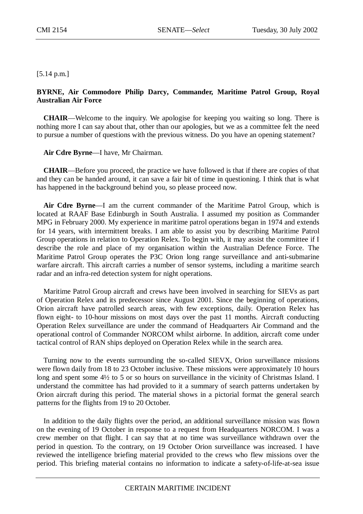## [5.14 p.m.]

## **BYRNE, Air Commodore Philip Darcy, Commander, Maritime Patrol Group, Royal Australian Air Force**

**CHAIR**—Welcome to the inquiry. We apologise for keeping you waiting so long. There is nothing more I can say about that, other than our apologies, but we as a committee felt the need to pursue a number of questions with the previous witness. Do you have an opening statement?

**Air Cdre Byrne**—I have, Mr Chairman.

**CHAIR**—Before you proceed, the practice we have followed is that if there are copies of that and they can be handed around, it can save a fair bit of time in questioning. I think that is what has happened in the background behind you, so please proceed now.

**Air Cdre Byrne**—I am the current commander of the Maritime Patrol Group, which is located at RAAF Base Edinburgh in South Australia. I assumed my position as Commander MPG in February 2000. My experience in maritime patrol operations began in 1974 and extends for 14 years, with intermittent breaks. I am able to assist you by describing Maritime Patrol Group operations in relation to Operation Relex. To begin with, it may assist the committee if I describe the role and place of my organisation within the Australian Defence Force. The Maritime Patrol Group operates the P3C Orion long range surveillance and anti-submarine warfare aircraft. This aircraft carries a number of sensor systems, including a maritime search radar and an infra-red detection system for night operations.

Maritime Patrol Group aircraft and crews have been involved in searching for SIEVs as part of Operation Relex and its predecessor since August 2001. Since the beginning of operations, Orion aircraft have patrolled search areas, with few exceptions, daily. Operation Relex has flown eight- to 10-hour missions on most days over the past 11 months. Aircraft conducting Operation Relex surveillance are under the command of Headquarters Air Command and the operational control of Commander NORCOM whilst airborne. In addition, aircraft come under tactical control of RAN ships deployed on Operation Relex while in the search area.

Turning now to the events surrounding the so-called SIEVX, Orion surveillance missions were flown daily from 18 to 23 October inclusive. These missions were approximately 10 hours long and spent some 4½ to 5 or so hours on surveillance in the vicinity of Christmas Island. I understand the committee has had provided to it a summary of search patterns undertaken by Orion aircraft during this period. The material shows in a pictorial format the general search patterns for the flights from 19 to 20 October.

In addition to the daily flights over the period, an additional surveillance mission was flown on the evening of 19 October in response to a request from Headquarters NORCOM. I was a crew member on that flight. I can say that at no time was surveillance withdrawn over the period in question. To the contrary, on 19 October Orion surveillance was increased. I have reviewed the intelligence briefing material provided to the crews who flew missions over the period. This briefing material contains no information to indicate a safety-of-life-at-sea issue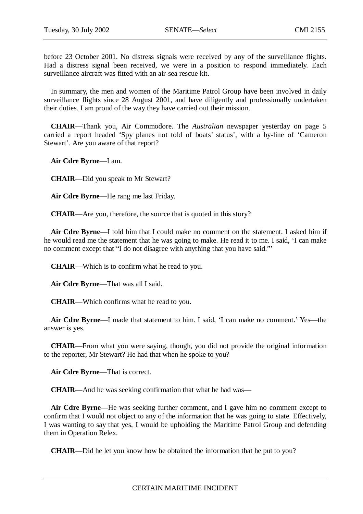before 23 October 2001. No distress signals were received by any of the surveillance flights. Had a distress signal been received, we were in a position to respond immediately. Each surveillance aircraft was fitted with an air-sea rescue kit.

In summary, the men and women of the Maritime Patrol Group have been involved in daily surveillance flights since 28 August 2001, and have diligently and professionally undertaken their duties. I am proud of the way they have carried out their mission.

**CHAIR**—Thank you, Air Commodore. The *Australian* newspaper yesterday on page 5 carried a report headed 'Spy planes not told of boats' status', with a by-line of 'Cameron Stewart'. Are you aware of that report?

**Air Cdre Byrne**—I am.

**CHAIR**—Did you speak to Mr Stewart?

**Air Cdre Byrne**—He rang me last Friday.

**CHAIR**—Are you, therefore, the source that is quoted in this story?

**Air Cdre Byrne**—I told him that I could make no comment on the statement. I asked him if he would read me the statement that he was going to make. He read it to me. I said, 'I can make no comment except that "I do not disagree with anything that you have said."'

**CHAIR**—Which is to confirm what he read to you.

**Air Cdre Byrne**—That was all I said.

**CHAIR**—Which confirms what he read to you.

**Air Cdre Byrne**—I made that statement to him. I said, 'I can make no comment.' Yes—the answer is yes.

**CHAIR**—From what you were saying, though, you did not provide the original information to the reporter, Mr Stewart? He had that when he spoke to you?

**Air Cdre Byrne**—That is correct.

**CHAIR**—And he was seeking confirmation that what he had was—

**Air Cdre Byrne**—He was seeking further comment, and I gave him no comment except to confirm that I would not object to any of the information that he was going to state. Effectively, I was wanting to say that yes, I would be upholding the Maritime Patrol Group and defending them in Operation Relex.

**CHAIR**—Did he let you know how he obtained the information that he put to you?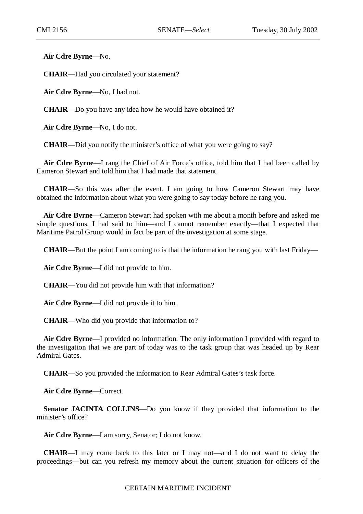**Air Cdre Byrne**—No.

**CHAIR**—Had you circulated your statement?

**Air Cdre Byrne**—No, I had not.

**CHAIR**—Do you have any idea how he would have obtained it?

**Air Cdre Byrne**—No, I do not.

**CHAIR**—Did you notify the minister's office of what you were going to say?

**Air Cdre Byrne**—I rang the Chief of Air Force's office, told him that I had been called by Cameron Stewart and told him that I had made that statement.

**CHAIR**—So this was after the event. I am going to how Cameron Stewart may have obtained the information about what you were going to say today before he rang you.

**Air Cdre Byrne**—Cameron Stewart had spoken with me about a month before and asked me simple questions. I had said to him—and I cannot remember exactly—that I expected that Maritime Patrol Group would in fact be part of the investigation at some stage.

**CHAIR**—But the point I am coming to is that the information he rang you with last Friday—

**Air Cdre Byrne**—I did not provide to him.

**CHAIR**—You did not provide him with that information?

**Air Cdre Byrne**—I did not provide it to him.

**CHAIR**—Who did you provide that information to?

**Air Cdre Byrne**—I provided no information. The only information I provided with regard to the investigation that we are part of today was to the task group that was headed up by Rear Admiral Gates.

**CHAIR**—So you provided the information to Rear Admiral Gates's task force.

**Air Cdre Byrne**—Correct.

**Senator JACINTA COLLINS**—Do you know if they provided that information to the minister's office?

**Air Cdre Byrne**—I am sorry, Senator; I do not know.

**CHAIR**—I may come back to this later or I may not—and I do not want to delay the proceedings—but can you refresh my memory about the current situation for officers of the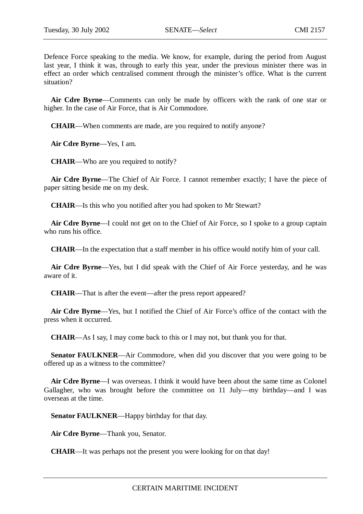Defence Force speaking to the media. We know, for example, during the period from August last year, I think it was, through to early this year, under the previous minister there was in effect an order which centralised comment through the minister's office. What is the current situation?

**Air Cdre Byrne**—Comments can only be made by officers with the rank of one star or higher. In the case of Air Force, that is Air Commodore.

**CHAIR**—When comments are made, are you required to notify anyone?

**Air Cdre Byrne**—Yes, I am.

**CHAIR**—Who are you required to notify?

**Air Cdre Byrne**—The Chief of Air Force. I cannot remember exactly; I have the piece of paper sitting beside me on my desk.

**CHAIR**—Is this who you notified after you had spoken to Mr Stewart?

**Air Cdre Byrne**—I could not get on to the Chief of Air Force, so I spoke to a group captain who runs his office.

**CHAIR**—In the expectation that a staff member in his office would notify him of your call.

**Air Cdre Byrne**—Yes, but I did speak with the Chief of Air Force yesterday, and he was aware of it.

**CHAIR**—That is after the event—after the press report appeared?

**Air Cdre Byrne**—Yes, but I notified the Chief of Air Force's office of the contact with the press when it occurred.

**CHAIR**—As I say, I may come back to this or I may not, but thank you for that.

**Senator FAULKNER—Air Commodore, when did you discover that you were going to be** offered up as a witness to the committee?

**Air Cdre Byrne**—I was overseas. I think it would have been about the same time as Colonel Gallagher, who was brought before the committee on 11 July—my birthday—and I was overseas at the time.

**Senator FAULKNER**—Happy birthday for that day.

**Air Cdre Byrne**—Thank you, Senator.

**CHAIR**—It was perhaps not the present you were looking for on that day!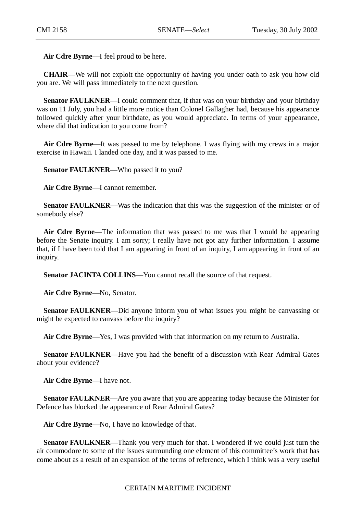**Air Cdre Byrne**—I feel proud to be here.

**CHAIR**—We will not exploit the opportunity of having you under oath to ask you how old you are. We will pass immediately to the next question.

**Senator FAULKNER—I** could comment that, if that was on your birthday and your birthday was on 11 July, you had a little more notice than Colonel Gallagher had, because his appearance followed quickly after your birthdate, as you would appreciate. In terms of your appearance, where did that indication to you come from?

**Air Cdre Byrne**—It was passed to me by telephone. I was flying with my crews in a major exercise in Hawaii. I landed one day, and it was passed to me.

**Senator FAULKNER**—Who passed it to you?

**Air Cdre Byrne**—I cannot remember.

**Senator FAULKNER—Was the indication that this was the suggestion of the minister or of** somebody else?

**Air Cdre Byrne**—The information that was passed to me was that I would be appearing before the Senate inquiry. I am sorry; I really have not got any further information. I assume that, if I have been told that I am appearing in front of an inquiry, I am appearing in front of an inquiry.

**Senator JACINTA COLLINS—You cannot recall the source of that request.** 

**Air Cdre Byrne**—No, Senator.

**Senator FAULKNER**—Did anyone inform you of what issues you might be canvassing or might be expected to canvass before the inquiry?

**Air Cdre Byrne**—Yes, I was provided with that information on my return to Australia.

**Senator FAULKNER**—Have you had the benefit of a discussion with Rear Admiral Gates about your evidence?

**Air Cdre Byrne**—I have not.

**Senator FAULKNER**—Are you aware that you are appearing today because the Minister for Defence has blocked the appearance of Rear Admiral Gates?

**Air Cdre Byrne**—No, I have no knowledge of that.

**Senator FAULKNER**—Thank you very much for that. I wondered if we could just turn the air commodore to some of the issues surrounding one element of this committee's work that has come about as a result of an expansion of the terms of reference, which I think was a very useful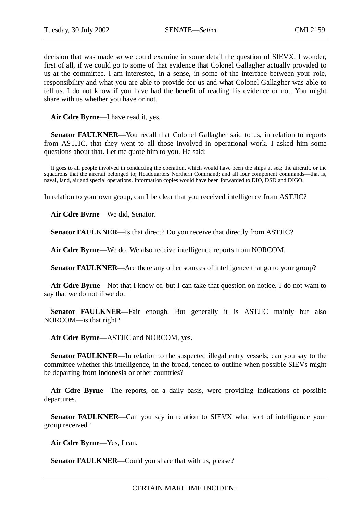decision that was made so we could examine in some detail the question of SIEVX. I wonder, first of all, if we could go to some of that evidence that Colonel Gallagher actually provided to us at the committee. I am interested, in a sense, in some of the interface between your role, responsibility and what you are able to provide for us and what Colonel Gallagher was able to tell us. I do not know if you have had the benefit of reading his evidence or not. You might share with us whether you have or not.

**Air Cdre Byrne**—I have read it, yes.

**Senator FAULKNER—Y**ou recall that Colonel Gallagher said to us, in relation to reports from ASTJIC, that they went to all those involved in operational work. I asked him some questions about that. Let me quote him to you. He said:

It goes to all people involved in conducting the operation, which would have been the ships at sea; the aircraft, or the squadrons that the aircraft belonged to; Headquarters Northern Command; and all four component commands—that is, naval, land, air and special operations. Information copies would have been forwarded to DIO, DSD and DIGO.

In relation to your own group, can I be clear that you received intelligence from ASTJIC?

**Air Cdre Byrne**—We did, Senator.

**Senator FAULKNER**—Is that direct? Do you receive that directly from ASTJIC?

**Air Cdre Byrne**—We do. We also receive intelligence reports from NORCOM.

**Senator FAULKNER—Are there any other sources of intelligence that go to your group?** 

**Air Cdre Byrne**—Not that I know of, but I can take that question on notice. I do not want to say that we do not if we do.

**Senator FAULKNER—Fair** enough. But generally it is ASTJIC mainly but also NORCOM—is that right?

**Air Cdre Byrne**—ASTJIC and NORCOM, yes.

**Senator FAULKNER—In relation to the suspected illegal entry vessels, can you say to the** committee whether this intelligence, in the broad, tended to outline when possible SIEVs might be departing from Indonesia or other countries?

**Air Cdre Byrne**—The reports, on a daily basis, were providing indications of possible departures.

**Senator FAULKNER—Can** you say in relation to SIEVX what sort of intelligence your group received?

**Air Cdre Byrne**—Yes, I can.

**Senator FAULKNER—Could you share that with us, please?**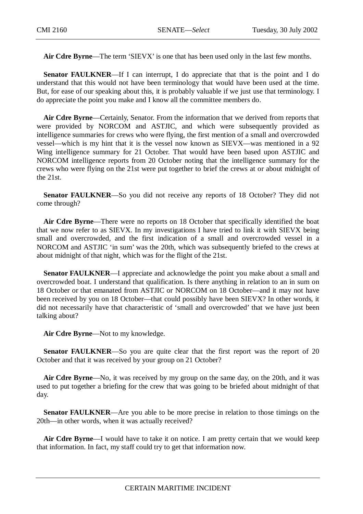**Air Cdre Byrne**—The term 'SIEVX' is one that has been used only in the last few months.

**Senator FAULKNER—If** I can interrupt, I do appreciate that that is the point and I do understand that this would not have been terminology that would have been used at the time. But, for ease of our speaking about this, it is probably valuable if we just use that terminology. I do appreciate the point you make and I know all the committee members do.

**Air Cdre Byrne**—Certainly, Senator. From the information that we derived from reports that were provided by NORCOM and ASTJIC, and which were subsequently provided as intelligence summaries for crews who were flying, the first mention of a small and overcrowded vessel—which is my hint that it is the vessel now known as SIEVX—was mentioned in a 92 Wing intelligence summary for 21 October. That would have been based upon ASTJIC and NORCOM intelligence reports from 20 October noting that the intelligence summary for the crews who were flying on the 21st were put together to brief the crews at or about midnight of the 21st.

**Senator FAULKNER—So** you did not receive any reports of 18 October? They did not come through?

**Air Cdre Byrne**—There were no reports on 18 October that specifically identified the boat that we now refer to as SIEVX. In my investigations I have tried to link it with SIEVX being small and overcrowded, and the first indication of a small and overcrowded vessel in a NORCOM and ASTJIC 'in sum' was the 20th, which was subsequently briefed to the crews at about midnight of that night, which was for the flight of the 21st.

**Senator FAULKNER—I** appreciate and acknowledge the point you make about a small and overcrowded boat. I understand that qualification. Is there anything in relation to an in sum on 18 October or that emanated from ASTJIC or NORCOM on 18 October—and it may not have been received by you on 18 October—that could possibly have been SIEVX? In other words, it did not necessarily have that characteristic of 'small and overcrowded' that we have just been talking about?

**Air Cdre Byrne**—Not to my knowledge.

**Senator FAULKNER—So** you are quite clear that the first report was the report of 20 October and that it was received by your group on 21 October?

**Air Cdre Byrne**—No, it was received by my group on the same day, on the 20th, and it was used to put together a briefing for the crew that was going to be briefed about midnight of that day.

**Senator FAULKNER**—Are you able to be more precise in relation to those timings on the 20th—in other words, when it was actually received?

**Air Cdre Byrne**—I would have to take it on notice. I am pretty certain that we would keep that information. In fact, my staff could try to get that information now.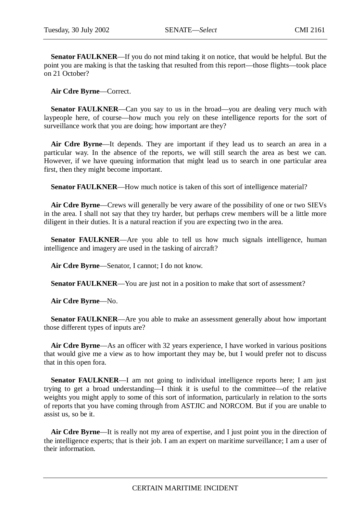**Senator FAULKNER**—If you do not mind taking it on notice, that would be helpful. But the point you are making is that the tasking that resulted from this report—those flights—took place on 21 October?

**Air Cdre Byrne**—Correct.

**Senator FAULKNER—Can** you say to us in the broad—you are dealing very much with laypeople here, of course—how much you rely on these intelligence reports for the sort of surveillance work that you are doing; how important are they?

**Air Cdre Byrne**—It depends. They are important if they lead us to search an area in a particular way. In the absence of the reports, we will still search the area as best we can. However, if we have queuing information that might lead us to search in one particular area first, then they might become important.

**Senator FAULKNER—How much notice is taken of this sort of intelligence material?** 

**Air Cdre Byrne**—Crews will generally be very aware of the possibility of one or two SIEVs in the area. I shall not say that they try harder, but perhaps crew members will be a little more diligent in their duties. It is a natural reaction if you are expecting two in the area.

**Senator FAULKNER**—Are you able to tell us how much signals intelligence, human intelligence and imagery are used in the tasking of aircraft?

**Air Cdre Byrne**—Senator, I cannot; I do not know.

**Senator FAULKNER—You are just not in a position to make that sort of assessment?** 

**Air Cdre Byrne**—No.

**Senator FAULKNER—Are you able to make an assessment generally about how important** those different types of inputs are?

**Air Cdre Byrne**—As an officer with 32 years experience, I have worked in various positions that would give me a view as to how important they may be, but I would prefer not to discuss that in this open fora.

**Senator FAULKNER**—I am not going to individual intelligence reports here; I am just trying to get a broad understanding—I think it is useful to the committee—of the relative weights you might apply to some of this sort of information, particularly in relation to the sorts of reports that you have coming through from ASTJIC and NORCOM. But if you are unable to assist us, so be it.

**Air Cdre Byrne**—It is really not my area of expertise, and I just point you in the direction of the intelligence experts; that is their job. I am an expert on maritime surveillance; I am a user of their information.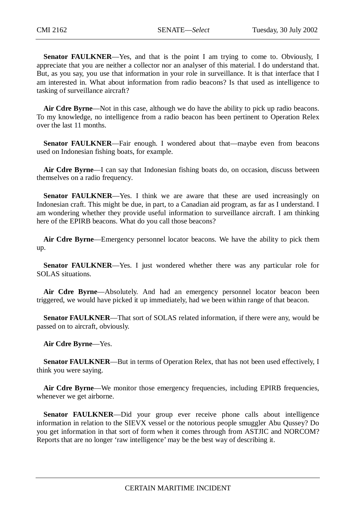**Senator FAULKNER**—Yes, and that is the point I am trying to come to. Obviously, I appreciate that you are neither a collector nor an analyser of this material. I do understand that. But, as you say, you use that information in your role in surveillance. It is that interface that I am interested in. What about information from radio beacons? Is that used as intelligence to tasking of surveillance aircraft?

**Air Cdre Byrne**—Not in this case, although we do have the ability to pick up radio beacons. To my knowledge, no intelligence from a radio beacon has been pertinent to Operation Relex over the last 11 months.

**Senator FAULKNER**—Fair enough. I wondered about that—maybe even from beacons used on Indonesian fishing boats, for example.

**Air Cdre Byrne**—I can say that Indonesian fishing boats do, on occasion, discuss between themselves on a radio frequency.

**Senator FAULKNER**—Yes. I think we are aware that these are used increasingly on Indonesian craft. This might be due, in part, to a Canadian aid program, as far as I understand. I am wondering whether they provide useful information to surveillance aircraft. I am thinking here of the EPIRB beacons. What do you call those beacons?

**Air Cdre Byrne**—Emergency personnel locator beacons. We have the ability to pick them up.

**Senator FAULKNER**—Yes. I just wondered whether there was any particular role for SOLAS situations.

**Air Cdre Byrne**—Absolutely. And had an emergency personnel locator beacon been triggered, we would have picked it up immediately, had we been within range of that beacon.

**Senator FAULKNER**—That sort of SOLAS related information, if there were any, would be passed on to aircraft, obviously.

**Air Cdre Byrne**—Yes.

**Senator FAULKNER**—But in terms of Operation Relex, that has not been used effectively, I think you were saying.

Air Cdre Byrne—We monitor those emergency frequencies, including EPIRB frequencies, whenever we get airborne.

**Senator FAULKNER**—Did your group ever receive phone calls about intelligence information in relation to the SIEVX vessel or the notorious people smuggler Abu Qussey? Do you get information in that sort of form when it comes through from ASTJIC and NORCOM? Reports that are no longer 'raw intelligence' may be the best way of describing it.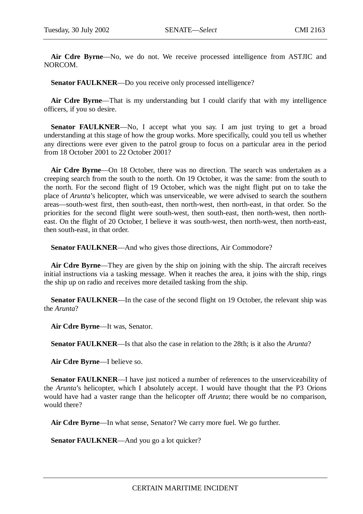**Air Cdre Byrne**—No, we do not. We receive processed intelligence from ASTJIC and NORCOM.

**Senator FAULKNER—Do** you receive only processed intelligence?

**Air Cdre Byrne**—That is my understanding but I could clarify that with my intelligence officers, if you so desire.

**Senator FAULKNER**—No, I accept what you say. I am just trying to get a broad understanding at this stage of how the group works. More specifically, could you tell us whether any directions were ever given to the patrol group to focus on a particular area in the period from 18 October 2001 to 22 October 2001?

**Air Cdre Byrne**—On 18 October, there was no direction. The search was undertaken as a creeping search from the south to the north. On 19 October, it was the same: from the south to the north. For the second flight of 19 October, which was the night flight put on to take the place of *Arunta*'s helicopter, which was unserviceable, we were advised to search the southern areas—south-west first, then south-east, then north-west, then north-east, in that order. So the priorities for the second flight were south-west, then south-east, then north-west, then northeast. On the flight of 20 October, I believe it was south-west, then north-west, then north-east, then south-east, in that order.

**Senator FAULKNER**—And who gives those directions, Air Commodore?

**Air Cdre Byrne**—They are given by the ship on joining with the ship. The aircraft receives initial instructions via a tasking message. When it reaches the area, it joins with the ship, rings the ship up on radio and receives more detailed tasking from the ship.

**Senator FAULKNER—In** the case of the second flight on 19 October, the relevant ship was the *Arunta*?

**Air Cdre Byrne**—It was, Senator.

**Senator FAULKNER**—Is that also the case in relation to the 28th; is it also the *Arunta*?

**Air Cdre Byrne**—I believe so.

**Senator FAULKNER—I** have just noticed a number of references to the unserviceability of the *Arunta*'s helicopter, which I absolutely accept. I would have thought that the P3 Orions would have had a vaster range than the helicopter off *Arunta*; there would be no comparison, would there?

**Air Cdre Byrne**—In what sense, Senator? We carry more fuel. We go further.

**Senator FAULKNER—And you go a lot quicker?**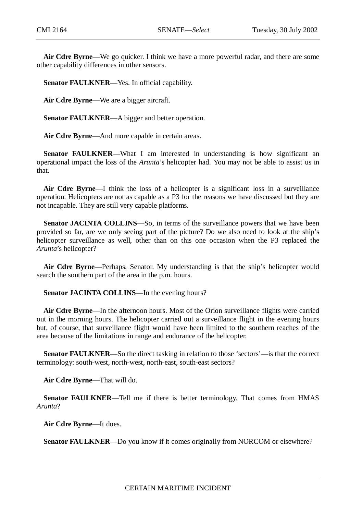**Air Cdre Byrne**—We go quicker. I think we have a more powerful radar, and there are some other capability differences in other sensors.

**Senator FAULKNER**—Yes. In official capability.

**Air Cdre Byrne**—We are a bigger aircraft.

**Senator FAULKNER**—A bigger and better operation.

**Air Cdre Byrne**—And more capable in certain areas.

**Senator FAULKNER—What I am interested in understanding is how significant an** operational impact the loss of the *Arunta*'s helicopter had. You may not be able to assist us in that.

**Air Cdre Byrne**—I think the loss of a helicopter is a significant loss in a surveillance operation. Helicopters are not as capable as a P3 for the reasons we have discussed but they are not incapable. They are still very capable platforms.

**Senator JACINTA COLLINS**—So, in terms of the surveillance powers that we have been provided so far, are we only seeing part of the picture? Do we also need to look at the ship's helicopter surveillance as well, other than on this one occasion when the P3 replaced the *Arunta*'s helicopter?

**Air Cdre Byrne**—Perhaps, Senator. My understanding is that the ship's helicopter would search the southern part of the area in the p.m. hours.

**Senator JACINTA COLLINS—In the evening hours?** 

**Air Cdre Byrne**—In the afternoon hours. Most of the Orion surveillance flights were carried out in the morning hours. The helicopter carried out a surveillance flight in the evening hours but, of course, that surveillance flight would have been limited to the southern reaches of the area because of the limitations in range and endurance of the helicopter.

**Senator FAULKNER**—So the direct tasking in relation to those 'sectors'—is that the correct terminology: south-west, north-west, north-east, south-east sectors?

**Air Cdre Byrne**—That will do.

**Senator FAULKNER**—Tell me if there is better terminology. That comes from HMAS *Arunta*?

**Air Cdre Byrne**—It does.

**Senator FAULKNER—Do** you know if it comes originally from NORCOM or elsewhere?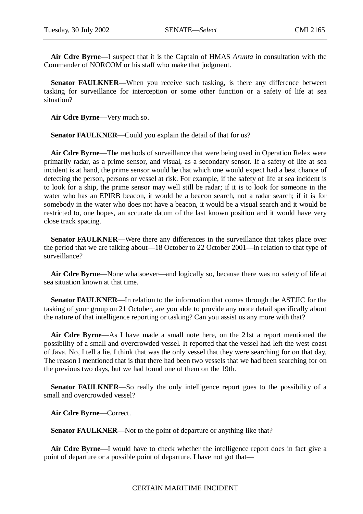**Air Cdre Byrne**—I suspect that it is the Captain of HMAS *Arunta* in consultation with the Commander of NORCOM or his staff who make that judgment.

**Senator FAULKNER—When** you receive such tasking, is there any difference between tasking for surveillance for interception or some other function or a safety of life at sea situation?

**Air Cdre Byrne**—Very much so.

**Senator FAULKNER—Could you explain the detail of that for us?** 

**Air Cdre Byrne**—The methods of surveillance that were being used in Operation Relex were primarily radar, as a prime sensor, and visual, as a secondary sensor. If a safety of life at sea incident is at hand, the prime sensor would be that which one would expect had a best chance of detecting the person, persons or vessel at risk. For example, if the safety of life at sea incident is to look for a ship, the prime sensor may well still be radar; if it is to look for someone in the water who has an EPIRB beacon, it would be a beacon search, not a radar search; if it is for somebody in the water who does not have a beacon, it would be a visual search and it would be restricted to, one hopes, an accurate datum of the last known position and it would have very close track spacing.

**Senator FAULKNER—Were there any differences in the surveillance that takes place over** the period that we are talking about—18 October to 22 October 2001—in relation to that type of surveillance?

**Air Cdre Byrne**—None whatsoever—and logically so, because there was no safety of life at sea situation known at that time.

**Senator FAULKNER**—In relation to the information that comes through the ASTJIC for the tasking of your group on 21 October, are you able to provide any more detail specifically about the nature of that intelligence reporting or tasking? Can you assist us any more with that?

**Air Cdre Byrne**—As I have made a small note here, on the 21st a report mentioned the possibility of a small and overcrowded vessel. It reported that the vessel had left the west coast of Java. No, I tell a lie. I think that was the only vessel that they were searching for on that day. The reason I mentioned that is that there had been two vessels that we had been searching for on the previous two days, but we had found one of them on the 19th.

**Senator FAULKNER—So** really the only intelligence report goes to the possibility of a small and overcrowded vessel?

**Air Cdre Byrne**—Correct.

**Senator FAULKNER—Not to the point of departure or anything like that?** 

**Air Cdre Byrne**—I would have to check whether the intelligence report does in fact give a point of departure or a possible point of departure. I have not got that—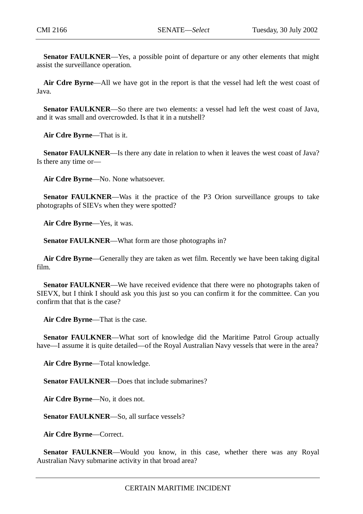**Senator FAULKNER**—Yes, a possible point of departure or any other elements that might assist the surveillance operation.

**Air Cdre Byrne**—All we have got in the report is that the vessel had left the west coast of Java.

**Senator FAULKNER—So there are two elements: a vessel had left the west coast of Java,** and it was small and overcrowded. Is that it in a nutshell?

**Air Cdre Byrne**—That is it.

**Senator FAULKNER**—Is there any date in relation to when it leaves the west coast of Java? Is there any time or—

**Air Cdre Byrne**—No. None whatsoever.

**Senator FAULKNER**—Was it the practice of the P3 Orion surveillance groups to take photographs of SIEVs when they were spotted?

**Air Cdre Byrne**—Yes, it was.

**Senator FAULKNER**—What form are those photographs in?

**Air Cdre Byrne**—Generally they are taken as wet film. Recently we have been taking digital film.

**Senator FAULKNER—We have received evidence that there were no photographs taken of** SIEVX, but I think I should ask you this just so you can confirm it for the committee. Can you confirm that that is the case?

**Air Cdre Byrne**—That is the case.

**Senator FAULKNER**—What sort of knowledge did the Maritime Patrol Group actually have—I assume it is quite detailed—of the Royal Australian Navy vessels that were in the area?

**Air Cdre Byrne**—Total knowledge.

**Senator FAULKNER**—Does that include submarines?

**Air Cdre Byrne**—No, it does not.

**Senator FAULKNER**—So, all surface vessels?

**Air Cdre Byrne**—Correct.

**Senator FAULKNER—Would you know, in this case, whether there was any Royal** Australian Navy submarine activity in that broad area?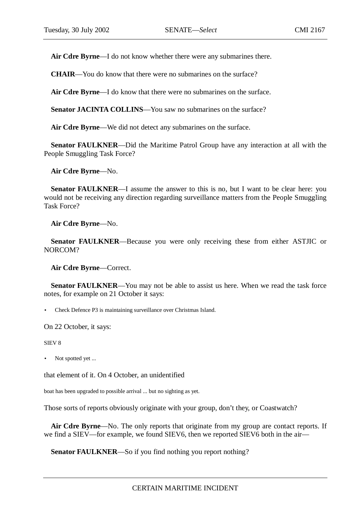**Air Cdre Byrne**—I do not know whether there were any submarines there.

**CHAIR**—You do know that there were no submarines on the surface?

**Air Cdre Byrne**—I do know that there were no submarines on the surface.

**Senator JACINTA COLLINS**—You saw no submarines on the surface?

**Air Cdre Byrne**—We did not detect any submarines on the surface.

**Senator FAULKNER**—Did the Maritime Patrol Group have any interaction at all with the People Smuggling Task Force?

**Air Cdre Byrne**—No.

**Senator FAULKNER—I** assume the answer to this is no, but I want to be clear here: you would not be receiving any direction regarding surveillance matters from the People Smuggling Task Force?

**Air Cdre Byrne**—No.

**Senator FAULKNER**—Because you were only receiving these from either ASTJIC or NORCOM?

**Air Cdre Byrne**—Correct.

**Senator FAULKNER—You may not be able to assist us here. When we read the task force** notes, for example on 21 October it says:

• Check Defence P3 is maintaining surveillance over Christmas Island.

On 22 October, it says:

SIEV 8

• Not spotted yet ...

that element of it. On 4 October, an unidentified

boat has been upgraded to possible arrival ... but no sighting as yet.

Those sorts of reports obviously originate with your group, don't they, or Coastwatch?

**Air Cdre Byrne**—No. The only reports that originate from my group are contact reports. If we find a SIEV—for example, we found SIEV6, then we reported SIEV6 both in the air—

**Senator FAULKNER**—So if you find nothing you report nothing?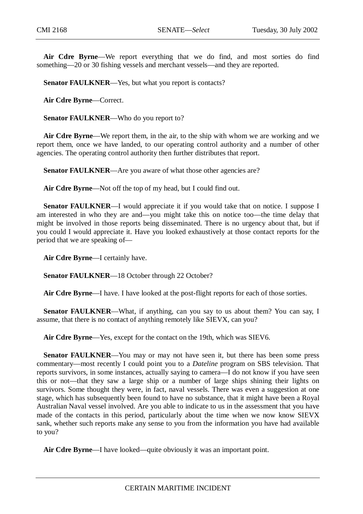**Air Cdre Byrne**—We report everything that we do find, and most sorties do find something—20 or 30 fishing vessels and merchant vessels—and they are reported.

**Senator FAULKNER—Yes, but what you report is contacts?** 

**Air Cdre Byrne**—Correct.

**Senator FAULKNER**—Who do you report to?

**Air Cdre Byrne**—We report them, in the air, to the ship with whom we are working and we report them, once we have landed, to our operating control authority and a number of other agencies. The operating control authority then further distributes that report.

Senator FAULKNER—Are you aware of what those other agencies are?

**Air Cdre Byrne**—Not off the top of my head, but I could find out.

**Senator FAULKNER—I** would appreciate it if you would take that on notice. I suppose I am interested in who they are and—you might take this on notice too—the time delay that might be involved in those reports being disseminated. There is no urgency about that, but if you could I would appreciate it. Have you looked exhaustively at those contact reports for the period that we are speaking of—

**Air Cdre Byrne**—I certainly have.

**Senator FAULKNER**—18 October through 22 October?

**Air Cdre Byrne**—I have. I have looked at the post-flight reports for each of those sorties.

**Senator FAULKNER—What, if anything, can you say to us about them? You can say, I** assume, that there is no contact of anything remotely like SIEVX, can you?

**Air Cdre Byrne**—Yes, except for the contact on the 19th, which was SIEV6.

**Senator FAULKNER—You may or may not have seen it, but there has been some press** commentary—most recently I could point you to a *Dateline* program on SBS television. That reports survivors, in some instances, actually saying to camera—I do not know if you have seen this or not—that they saw a large ship or a number of large ships shining their lights on survivors. Some thought they were, in fact, naval vessels. There was even a suggestion at one stage, which has subsequently been found to have no substance, that it might have been a Royal Australian Naval vessel involved. Are you able to indicate to us in the assessment that you have made of the contacts in this period, particularly about the time when we now know SIEVX sank, whether such reports make any sense to you from the information you have had available to you?

**Air Cdre Byrne**—I have looked—quite obviously it was an important point.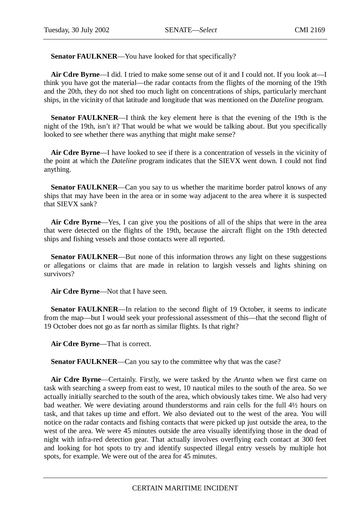**Senator FAULKNER**—You have looked for that specifically?

**Air Cdre Byrne**—I did. I tried to make some sense out of it and I could not. If you look at—I think you have got the material—the radar contacts from the flights of the morning of the 19th and the 20th, they do not shed too much light on concentrations of ships, particularly merchant ships, in the vicinity of that latitude and longitude that was mentioned on the *Dateline* program.

**Senator FAULKNER**—I think the key element here is that the evening of the 19th is the night of the 19th, isn't it? That would be what we would be talking about. But you specifically looked to see whether there was anything that might make sense?

**Air Cdre Byrne**—I have looked to see if there is a concentration of vessels in the vicinity of the point at which the *Dateline* program indicates that the SIEVX went down. I could not find anything.

**Senator FAULKNER—Can** you say to us whether the maritime border patrol knows of any ships that may have been in the area or in some way adjacent to the area where it is suspected that SIEVX sank?

**Air Cdre Byrne**—Yes, I can give you the positions of all of the ships that were in the area that were detected on the flights of the 19th, because the aircraft flight on the 19th detected ships and fishing vessels and those contacts were all reported.

**Senator FAULKNER—But none of this information throws any light on these suggestions** or allegations or claims that are made in relation to largish vessels and lights shining on survivors?

**Air Cdre Byrne**—Not that I have seen.

**Senator FAULKNER—In relation to the second flight of 19 October, it seems to indicate** from the map—but I would seek your professional assessment of this—that the second flight of 19 October does not go as far north as similar flights. Is that right?

**Air Cdre Byrne**—That is correct.

**Senator FAULKNER—Can you say to the committee why that was the case?** 

**Air Cdre Byrne**—Certainly. Firstly, we were tasked by the *Arunta* when we first came on task with searching a sweep from east to west, 10 nautical miles to the south of the area. So we actually initially searched to the south of the area, which obviously takes time. We also had very bad weather. We were deviating around thunderstorms and rain cells for the full 4½ hours on task, and that takes up time and effort. We also deviated out to the west of the area. You will notice on the radar contacts and fishing contacts that were picked up just outside the area, to the west of the area. We were 45 minutes outside the area visually identifying those in the dead of night with infra-red detection gear. That actually involves overflying each contact at 300 feet and looking for hot spots to try and identify suspected illegal entry vessels by multiple hot spots, for example. We were out of the area for 45 minutes.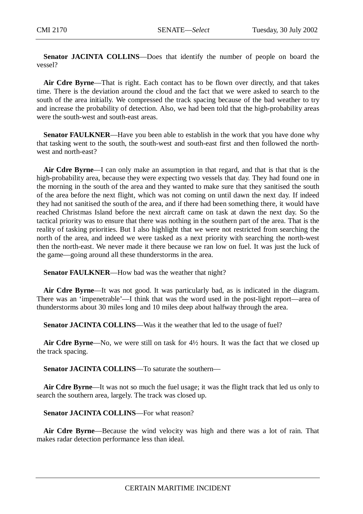**Senator JACINTA COLLINS**—Does that identify the number of people on board the vessel?

**Air Cdre Byrne**—That is right. Each contact has to be flown over directly, and that takes time. There is the deviation around the cloud and the fact that we were asked to search to the south of the area initially. We compressed the track spacing because of the bad weather to try and increase the probability of detection. Also, we had been told that the high-probability areas were the south-west and south-east areas.

**Senator FAULKNER—Have you been able to establish in the work that you have done why** that tasking went to the south, the south-west and south-east first and then followed the northwest and north-east?

**Air Cdre Byrne**—I can only make an assumption in that regard, and that is that that is the high-probability area, because they were expecting two vessels that day. They had found one in the morning in the south of the area and they wanted to make sure that they sanitised the south of the area before the next flight, which was not coming on until dawn the next day. If indeed they had not sanitised the south of the area, and if there had been something there, it would have reached Christmas Island before the next aircraft came on task at dawn the next day. So the tactical priority was to ensure that there was nothing in the southern part of the area. That is the reality of tasking priorities. But I also highlight that we were not restricted from searching the north of the area, and indeed we were tasked as a next priority with searching the north-west then the north-east. We never made it there because we ran low on fuel. It was just the luck of the game—going around all these thunderstorms in the area.

**Senator FAULKNER**—How bad was the weather that night?

**Air Cdre Byrne**—It was not good. It was particularly bad, as is indicated in the diagram. There was an 'impenetrable'—I think that was the word used in the post-light report—area of thunderstorms about 30 miles long and 10 miles deep about halfway through the area.

**Senator JACINTA COLLINS—Was** it the weather that led to the usage of fuel?

**Air Cdre Byrne**—No, we were still on task for 4½ hours. It was the fact that we closed up the track spacing.

**Senator JACINTA COLLINS**—To saturate the southern—

**Air Cdre Byrne**—It was not so much the fuel usage; it was the flight track that led us only to search the southern area, largely. The track was closed up.

**Senator JACINTA COLLINS**—For what reason?

**Air Cdre Byrne**—Because the wind velocity was high and there was a lot of rain. That makes radar detection performance less than ideal.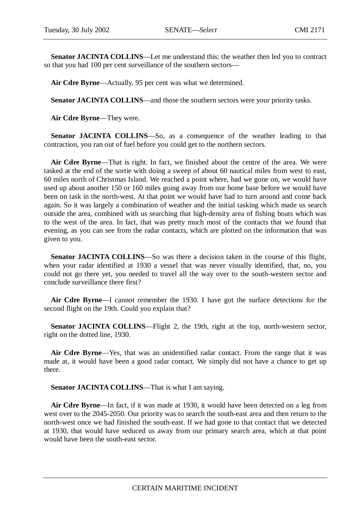**Senator JACINTA COLLINS**—Let me understand this: the weather then led you to contract so that you had 100 per cent surveillance of the southern sectors—

**Air Cdre Byrne**—Actually, 95 per cent was what we determined.

**Senator JACINTA COLLINS—and those the southern sectors were your priority tasks.** 

**Air Cdre Byrne**—They were.

**Senator JACINTA COLLINS**—So, as a consequence of the weather leading to that contraction, you ran out of fuel before you could get to the northern sectors.

**Air Cdre Byrne**—That is right. In fact, we finished about the centre of the area. We were tasked at the end of the sortie with doing a sweep of about 60 nautical miles from west to east, 60 miles north of Christmas Island. We reached a point where, had we gone on, we would have used up about another 150 or 160 miles going away from our home base before we would have been on task in the north-west. At that point we would have had to turn around and come back again. So it was largely a combination of weather and the initial tasking which made us search outside the area, combined with us searching that high-density area of fishing boats which was to the west of the area. In fact, that was pretty much most of the contacts that we found that evening, as you can see from the radar contacts, which are plotted on the information that was given to you.

**Senator JACINTA COLLINS**—So was there a decision taken in the course of this flight, when your radar identified at 1930 a vessel that was never visually identified, that, no, you could not go there yet, you needed to travel all the way over to the south-western sector and conclude surveillance there first?

**Air Cdre Byrne**—I cannot remember the 1930. I have got the surface detections for the second flight on the 19th. Could you explain that?

**Senator JACINTA COLLINS—Flight 2, the 19th, right at the top, north-western sector,** right on the dotted line, 1930.

**Air Cdre Byrne**—Yes, that was an unidentified radar contact. From the range that it was made at, it would have been a good radar contact. We simply did not have a chance to get up there.

**Senator JACINTA COLLINS—That is what I am saying.** 

**Air Cdre Byrne**—In fact, if it was made at 1930, it would have been detected on a leg from west over to the 2045-2050. Our priority was to search the south-east area and then return to the north-west once we had finished the south-east. If we had gone to that contact that we detected at 1930, that would have seduced us away from our primary search area, which at that point would have been the south-east sector.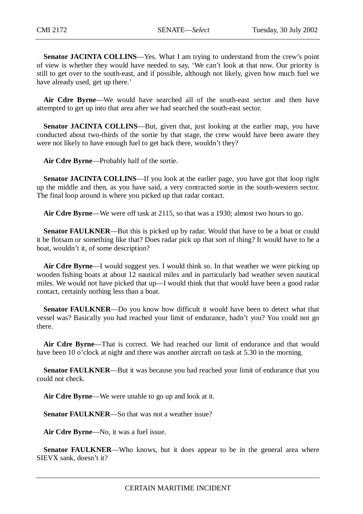**Senator JACINTA COLLINS**—Yes. What I am trying to understand from the crew's point of view is whether they would have needed to say, 'We can't look at that now. Our priority is still to get over to the south-east, and if possible, although not likely, given how much fuel we have already used, get up there.'

**Air Cdre Byrne**—We would have searched all of the south-east sector and then have attempted to get up into that area after we had searched the south-east sector.

**Senator JACINTA COLLINS—But, given that, just looking at the earlier map, you have** conducted about two-thirds of the sortie by that stage, the crew would have been aware they were not likely to have enough fuel to get back there, wouldn't they?

**Air Cdre Byrne**—Probably half of the sortie.

**Senator JACINTA COLLINS**—If you look at the earlier page, you have got that loop right up the middle and then, as you have said, a very contracted sortie in the south-western sector. The final loop around is where you picked up that radar contact.

**Air Cdre Byrne**—We were off task at 2115, so that was a 1930; almost two hours to go.

**Senator FAULKNER—But this is picked up by radar. Would that have to be a boat or could** it be flotsam or something like that? Does radar pick up that sort of thing? It would have to be a boat, wouldn't it, of some description?

**Air Cdre Byrne**—I would suggest yes. I would think so. In that weather we were picking up wooden fishing boats at about 12 nautical miles and in particularly bad weather seven nautical miles. We would not have picked that up—I would think that that would have been a good radar contact, certainly nothing less than a boat.

**Senator FAULKNER**—Do you know how difficult it would have been to detect what that vessel was? Basically you had reached your limit of endurance, hadn't you? You could not go there.

**Air Cdre Byrne**—That is correct. We had reached our limit of endurance and that would have been 10 o'clock at night and there was another aircraft on task at 5.30 in the morning.

**Senator FAULKNER—But it was because you had reached your limit of endurance that you** could not check.

**Air Cdre Byrne**—We were unable to go up and look at it.

**Senator FAULKNER—So that was not a weather issue?** 

**Air Cdre Byrne**—No, it was a fuel issue.

**Senator FAULKNER—Who knows, but it does appear to be in the general area where** SIEVX sank, doesn't it?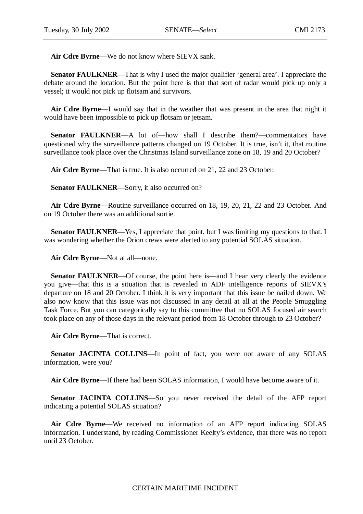**Air Cdre Byrne**—We do not know where SIEVX sank.

**Senator FAULKNER—That is why I used the major qualifier 'general area'. I appreciate the** debate around the location. But the point here is that that sort of radar would pick up only a vessel; it would not pick up flotsam and survivors.

**Air Cdre Byrne**—I would say that in the weather that was present in the area that night it would have been impossible to pick up flotsam or jetsam.

**Senator FAULKNER**—A lot of—how shall I describe them?—commentators have questioned why the surveillance patterns changed on 19 October. It is true, isn't it, that routine surveillance took place over the Christmas Island surveillance zone on 18, 19 and 20 October?

**Air Cdre Byrne**—That is true. It is also occurred on 21, 22 and 23 October.

**Senator FAULKNER**—Sorry, it also occurred on?

**Air Cdre Byrne**—Routine surveillance occurred on 18, 19, 20, 21, 22 and 23 October. And on 19 October there was an additional sortie.

**Senator FAULKNER—Yes, I appreciate that point, but I was limiting my questions to that. I** was wondering whether the Orion crews were alerted to any potential SOLAS situation.

**Air Cdre Byrne**—Not at all—none.

**Senator FAULKNER—Of** course, the point here is—and I hear very clearly the evidence you give—that this is a situation that is revealed in ADF intelligence reports of SIEVX's departure on 18 and 20 October. I think it is very important that this issue be nailed down. We also now know that this issue was not discussed in any detail at all at the People Smuggling Task Force. But you can categorically say to this committee that no SOLAS focused air search took place on any of those days in the relevant period from 18 October through to 23 October?

**Air Cdre Byrne**—That is correct.

**Senator JACINTA COLLINS**—In point of fact, you were not aware of any SOLAS information, were you?

**Air Cdre Byrne**—If there had been SOLAS information, I would have become aware of it.

**Senator JACINTA COLLINS**—So you never received the detail of the AFP report indicating a potential SOLAS situation?

**Air Cdre Byrne**—We received no information of an AFP report indicating SOLAS information. I understand, by reading Commissioner Keelty's evidence, that there was no report until 23 October.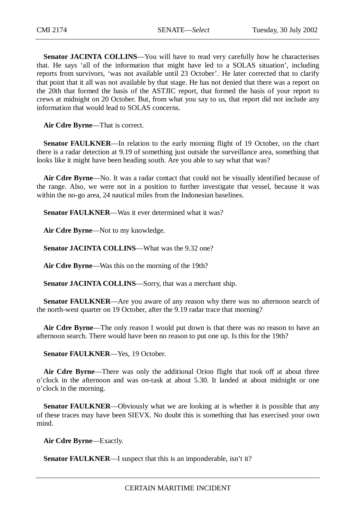**Senator JACINTA COLLINS**—You will have to read very carefully how he characterises that. He says 'all of the information that might have led to a SOLAS situation', including reports from survivors, 'was not available until 23 October'. . He later corrected that to clarify that point that it all was not available by that stage. He has not denied that there was a report on the 20th that formed the basis of the ASTJIC report, that formed the basis of your report to crews at midnight on 20 October. But, from what you say to us, that report did not include any information that would lead to SOLAS concerns.

**Air Cdre Byrne**—That is correct.

**Senator FAULKNER—In relation to the early morning flight of 19 October, on the chart** there is a radar detection at 9.19 of something just outside the surveillance area, something that looks like it might have been heading south. Are you able to say what that was?

**Air Cdre Byrne**—No. It was a radar contact that could not be visually identified because of the range. Also, we were not in a position to further investigate that vessel, because it was within the no-go area, 24 nautical miles from the Indonesian baselines.

**Senator FAULKNER—Was** it ever determined what it was?

**Air Cdre Byrne**—Not to my knowledge.

**Senator JACINTA COLLINS**—What was the 9.32 one?

**Air Cdre Byrne**—Was this on the morning of the 19th?

**Senator JACINTA COLLINS**—Sorry, that was a merchant ship.

**Senator FAULKNER—Are you aware of any reason why there was no afternoon search of** the north-west quarter on 19 October, after the 9.19 radar trace that morning?

**Air Cdre Byrne**—The only reason I would put down is that there was no reason to have an afternoon search. There would have been no reason to put one up. Is this for the 19th?

**Senator FAULKNER**—Yes, 19 October.

**Air Cdre Byrne**—There was only the additional Orion flight that took off at about three o'clock in the afternoon and was on-task at about 5.30. It landed at about midnight or one o'clock in the morning.

**Senator FAULKNER—Obviously what we are looking at is whether it is possible that any** of these traces may have been SIEVX. No doubt this is something that has exercised your own mind.

**Air Cdre Byrne**—Exactly.

**Senator FAULKNER—I** suspect that this is an imponderable, isn't it?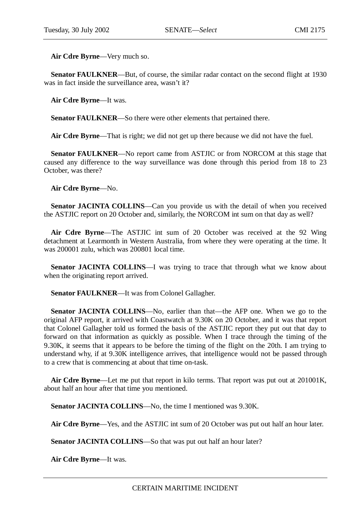**Air Cdre Byrne**—Very much so.

**Senator FAULKNER—But, of course, the similar radar contact on the second flight at 1930** was in fact inside the surveillance area, wasn't it?

**Air Cdre Byrne**—It was.

**Senator FAULKNER**—So there were other elements that pertained there.

**Air Cdre Byrne**—That is right; we did not get up there because we did not have the fuel.

**Senator FAULKNER**—No report came from ASTJIC or from NORCOM at this stage that caused any difference to the way surveillance was done through this period from 18 to 23 October, was there?

**Air Cdre Byrne**—No.

**Senator JACINTA COLLINS—Can** you provide us with the detail of when you received the ASTJIC report on 20 October and, similarly, the NORCOM int sum on that day as well?

**Air Cdre Byrne**—The ASTJIC int sum of 20 October was received at the 92 Wing detachment at Learmonth in Western Australia, from where they were operating at the time. It was 200001 zulu, which was 200801 local time.

**Senator JACINTA COLLINS**—I was trying to trace that through what we know about when the originating report arrived.

**Senator FAULKNER**—It was from Colonel Gallagher.

**Senator JACINTA COLLINS**—No, earlier than that—the AFP one. When we go to the original AFP report, it arrived with Coastwatch at 9.30K on 20 October, and it was that report that Colonel Gallagher told us formed the basis of the ASTJIC report they put out that day to forward on that information as quickly as possible. When I trace through the timing of the 9.30K, it seems that it appears to be before the timing of the flight on the 20th. I am trying to understand why, if at 9.30K intelligence arrives, that intelligence would not be passed through to a crew that is commencing at about that time on-task.

**Air Cdre Byrne**—Let me put that report in kilo terms. That report was put out at 201001K, about half an hour after that time you mentioned.

Senator JACINTA COLLINS—No, the time I mentioned was 9.30K.

**Air Cdre Byrne**—Yes, and the ASTJIC int sum of 20 October was put out half an hour later.

**Senator JACINTA COLLINS**—So that was put out half an hour later?

**Air Cdre Byrne**—It was.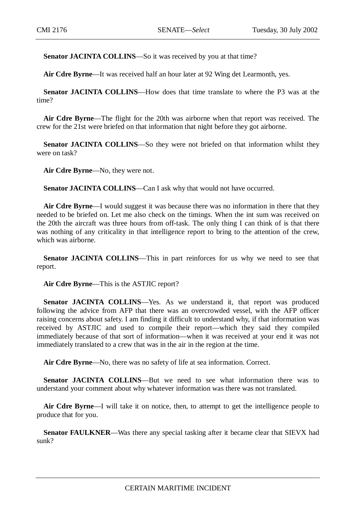Senator JACINTA COLLINS-So it was received by you at that time?

**Air Cdre Byrne**—It was received half an hour later at 92 Wing det Learmonth, yes.

**Senator JACINTA COLLINS**—How does that time translate to where the P3 was at the time?

**Air Cdre Byrne**—The flight for the 20th was airborne when that report was received. The crew for the 21st were briefed on that information that night before they got airborne.

**Senator JACINTA COLLINS**—So they were not briefed on that information whilst they were on task?

**Air Cdre Byrne**—No, they were not.

**Senator JACINTA COLLINS**—Can I ask why that would not have occurred.

**Air Cdre Byrne**—I would suggest it was because there was no information in there that they needed to be briefed on. Let me also check on the timings. When the int sum was received on the 20th the aircraft was three hours from off-task. The only thing I can think of is that there was nothing of any criticality in that intelligence report to bring to the attention of the crew, which was airborne.

**Senator JACINTA COLLINS—This in part reinforces for us why we need to see that** report.

**Air Cdre Byrne**—This is the ASTJIC report?

**Senator JACINTA COLLINS**—Yes. As we understand it, that report was produced following the advice from AFP that there was an overcrowded vessel, with the AFP officer raising concerns about safety. I am finding it difficult to understand why, if that information was received by ASTJIC and used to compile their report—which they said they compiled immediately because of that sort of information—when it was received at your end it was not immediately translated to a crew that was in the air in the region at the time.

**Air Cdre Byrne**—No, there was no safety of life at sea information. Correct.

**Senator JACINTA COLLINS**—But we need to see what information there was to understand your comment about why whatever information was there was not translated.

**Air Cdre Byrne**—I will take it on notice, then, to attempt to get the intelligence people to produce that for you.

**Senator FAULKNER—Was there any special tasking after it became clear that SIEVX had** sunk?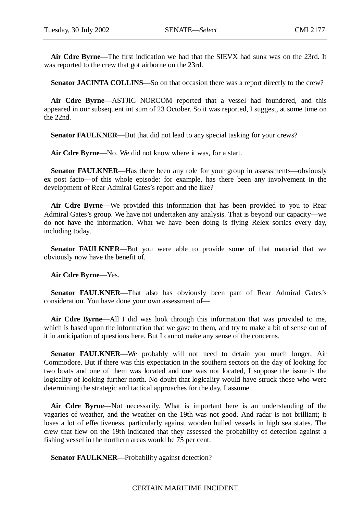**Air Cdre Byrne**—The first indication we had that the SIEVX had sunk was on the 23rd. It was reported to the crew that got airborne on the 23rd.

**Senator JACINTA COLLINS**—So on that occasion there was a report directly to the crew?

**Air Cdre Byrne**—ASTJIC NORCOM reported that a vessel had foundered, and this appeared in our subsequent int sum of 23 October. So it was reported, I suggest, at some time on the 22nd.

**Senator FAULKNER—But that did not lead to any special tasking for your crews?** 

**Air Cdre Byrne**—No. We did not know where it was, for a start.

**Senator FAULKNER—Has there been any role for your group in assessments—obviously** ex post facto—of this whole episode: for example, has there been any involvement in the development of Rear Admiral Gates's report and the like?

**Air Cdre Byrne**—We provided this information that has been provided to you to Rear Admiral Gates's group. We have not undertaken any analysis. That is beyond our capacity—we do not have the information. What we have been doing is flying Relex sorties every day, including today.

**Senator FAULKNER**—But you were able to provide some of that material that we obviously now have the benefit of.

**Air Cdre Byrne**—Yes.

Senator FAULKNER—That also has obviously been part of Rear Admiral Gates's consideration. You have done your own assessment of—

**Air Cdre Byrne**—All I did was look through this information that was provided to me, which is based upon the information that we gave to them, and try to make a bit of sense out of it in anticipation of questions here. But I cannot make any sense of the concerns.

Senator FAULKNER—We probably will not need to detain you much longer, Air Commodore. But if there was this expectation in the southern sectors on the day of looking for two boats and one of them was located and one was not located, I suppose the issue is the logicality of looking further north. No doubt that logicality would have struck those who were determining the strategic and tactical approaches for the day, I assume.

**Air Cdre Byrne**—Not necessarily. What is important here is an understanding of the vagaries of weather, and the weather on the 19th was not good. And radar is not brilliant; it loses a lot of effectiveness, particularly against wooden hulled vessels in high sea states. The crew that flew on the 19th indicated that they assessed the probability of detection against a fishing vessel in the northern areas would be 75 per cent.

**Senator FAULKNER—Probability against detection?**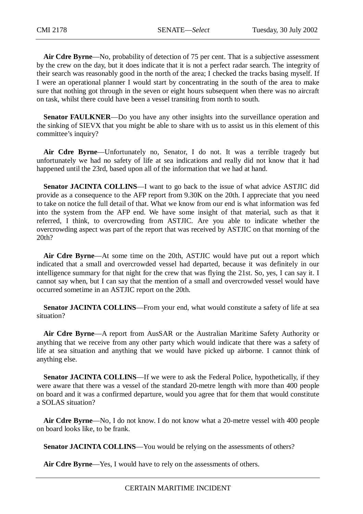**Air Cdre Byrne**—No, probability of detection of 75 per cent. That is a subjective assessment by the crew on the day, but it does indicate that it is not a perfect radar search. The integrity of their search was reasonably good in the north of the area; I checked the tracks basing myself. If I were an operational planner I would start by concentrating in the south of the area to make sure that nothing got through in the seven or eight hours subsequent when there was no aircraft on task, whilst there could have been a vessel transiting from north to south.

**Senator FAULKNER**—Do you have any other insights into the surveillance operation and the sinking of SIEVX that you might be able to share with us to assist us in this element of this committee's inquiry?

**Air Cdre Byrne**—Unfortunately no, Senator, I do not. It was a terrible tragedy but unfortunately we had no safety of life at sea indications and really did not know that it had happened until the 23rd, based upon all of the information that we had at hand.

**Senator JACINTA COLLINS**—I want to go back to the issue of what advice ASTJIC did provide as a consequence to the AFP report from 9.30K on the 20th. I appreciate that you need to take on notice the full detail of that. What we know from our end is what information was fed into the system from the AFP end. We have some insight of that material, such as that it referred, I think, to overcrowding from ASTJIC. Are you able to indicate whether the overcrowding aspect was part of the report that was received by ASTJIC on that morning of the 20th?

**Air Cdre Byrne**—At some time on the 20th, ASTJIC would have put out a report which indicated that a small and overcrowded vessel had departed, because it was definitely in our intelligence summary for that night for the crew that was flying the 21st. So, yes, I can say it. I cannot say when, but I can say that the mention of a small and overcrowded vessel would have occurred sometime in an ASTJIC report on the 20th.

Senator JACINTA COLLINS—From your end, what would constitute a safety of life at sea situation?

**Air Cdre Byrne**—A report from AusSAR or the Australian Maritime Safety Authority or anything that we receive from any other party which would indicate that there was a safety of life at sea situation and anything that we would have picked up airborne. I cannot think of anything else.

**Senator JACINTA COLLINS—If** we were to ask the Federal Police, hypothetically, if they were aware that there was a vessel of the standard 20-metre length with more than 400 people on board and it was a confirmed departure, would you agree that for them that would constitute a SOLAS situation?

**Air Cdre Byrne**—No, I do not know. I do not know what a 20-metre vessel with 400 people on board looks like, to be frank.

**Senator JACINTA COLLINS—You would be relying on the assessments of others?** 

**Air Cdre Byrne**—Yes, I would have to rely on the assessments of others.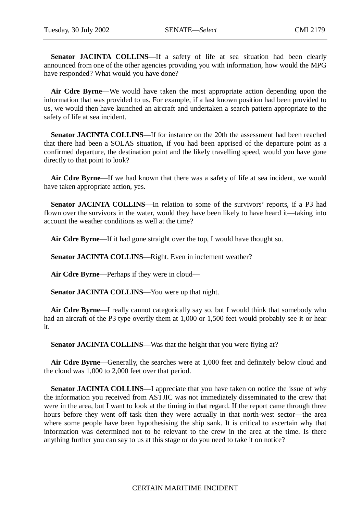Senator JACINTA COLLINS—If a safety of life at sea situation had been clearly announced from one of the other agencies providing you with information, how would the MPG have responded? What would you have done?

**Air Cdre Byrne**—We would have taken the most appropriate action depending upon the information that was provided to us. For example, if a last known position had been provided to us, we would then have launched an aircraft and undertaken a search pattern appropriate to the safety of life at sea incident.

**Senator JACINTA COLLINS**—If for instance on the 20th the assessment had been reached that there had been a SOLAS situation, if you had been apprised of the departure point as a confirmed departure, the destination point and the likely travelling speed, would you have gone directly to that point to look?

**Air Cdre Byrne**—If we had known that there was a safety of life at sea incident, we would have taken appropriate action, yes.

**Senator JACINTA COLLINS**—In relation to some of the survivors' reports, if a P3 had flown over the survivors in the water, would they have been likely to have heard it—taking into account the weather conditions as well at the time?

**Air Cdre Byrne**—If it had gone straight over the top, I would have thought so.

**Senator JACINTA COLLINS**—Right. Even in inclement weather?

**Air Cdre Byrne**—Perhaps if they were in cloud—

**Senator JACINTA COLLINS**—You were up that night.

**Air Cdre Byrne**—I really cannot categorically say so, but I would think that somebody who had an aircraft of the P3 type overfly them at 1,000 or 1,500 feet would probably see it or hear it.

**Senator JACINTA COLLINS—Was that the height that you were flying at?** 

**Air Cdre Byrne**—Generally, the searches were at 1,000 feet and definitely below cloud and the cloud was 1,000 to 2,000 feet over that period.

**Senator JACINTA COLLINS**—I appreciate that you have taken on notice the issue of why the information you received from ASTJIC was not immediately disseminated to the crew that were in the area, but I want to look at the timing in that regard. If the report came through three hours before they went off task then they were actually in that north-west sector—the area where some people have been hypothesising the ship sank. It is critical to ascertain why that information was determined not to be relevant to the crew in the area at the time. Is there anything further you can say to us at this stage or do you need to take it on notice?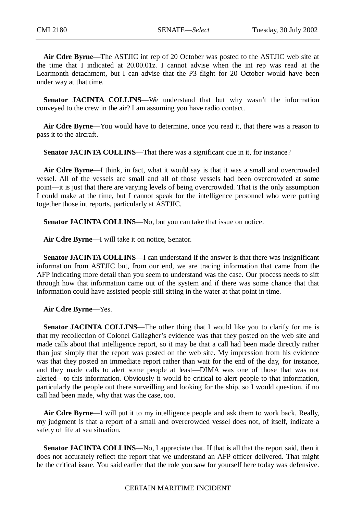**Air Cdre Byrne**—The ASTJIC int rep of 20 October was posted to the ASTJIC web site at the time that I indicated at 20.00.01z. I cannot advise when the int rep was read at the Learmonth detachment, but I can advise that the P3 flight for 20 October would have been under way at that time.

**Senator JACINTA COLLINS**—We understand that but why wasn't the information conveyed to the crew in the air? I am assuming you have radio contact.

**Air Cdre Byrne**—You would have to determine, once you read it, that there was a reason to pass it to the aircraft.

**Senator JACINTA COLLINS—That there was a significant cue in it, for instance?** 

**Air Cdre Byrne**—I think, in fact, what it would say is that it was a small and overcrowded vessel. All of the vessels are small and all of those vessels had been overcrowded at some point—it is just that there are varying levels of being overcrowded. That is the only assumption I could make at the time, but I cannot speak for the intelligence personnel who were putting together those int reports, particularly at ASTJIC.

**Senator JACINTA COLLINS**—No, but you can take that issue on notice.

**Air Cdre Byrne**—I will take it on notice, Senator.

**Senator JACINTA COLLINS**—I can understand if the answer is that there was insignificant information from ASTJIC but, from our end, we are tracing information that came from the AFP indicating more detail than you seem to understand was the case. Our process needs to sift through how that information came out of the system and if there was some chance that that information could have assisted people still sitting in the water at that point in time.

**Air Cdre Byrne**—Yes.

**Senator JACINTA COLLINS—The other thing that I would like you to clarify for me is** that my recollection of Colonel Gallagher's evidence was that they posted on the web site and made calls about that intelligence report, so it may be that a call had been made directly rather than just simply that the report was posted on the web site. My impression from his evidence was that they posted an immediate report rather than wait for the end of the day, for instance, and they made calls to alert some people at least—DIMA was one of those that was not alerted—to this information. Obviously it would be critical to alert people to that information, particularly the people out there surveilling and looking for the ship, so I would question, if no call had been made, why that was the case, too.

**Air Cdre Byrne**—I will put it to my intelligence people and ask them to work back. Really, my judgment is that a report of a small and overcrowded vessel does not, of itself, indicate a safety of life at sea situation.

**Senator JACINTA COLLINS—No, I appreciate that. If that is all that the report said, then it** does not accurately reflect the report that we understand an AFP officer delivered. That might be the critical issue. You said earlier that the role you saw for yourself here today was defensive.